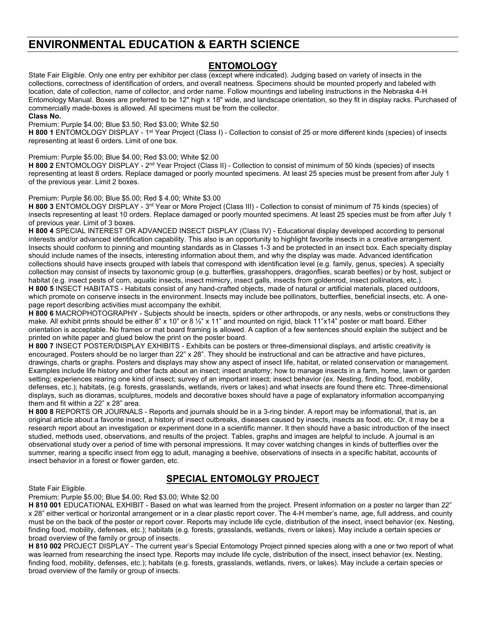# **ENVIRONMENTAL EDUCATION & EARTH SCIENCE**

## **ENTOMOLOGY**

State Fair Eligible. Only one entry per exhibitor per class (except where indicated). Judging based on variety of insects in the collections, correctness of identification of orders, and overall neatness. Specimens should be mounted properly and labeled with location, date of collection, name of collector, and order name. Follow mountings and labeling instructions in the Nebraska 4-H Entomology Manual. Boxes are preferred to be 12" high x 18" wide, and landscape orientation, so they fit in display racks. Purchased of commercially made-boxes is allowed. All specimens must be from the collector.

#### **Class No.**

Premium: Purple \$4.00; Blue \$3.50; Red \$3.00; White \$2.50

**H 800 1 ENTOMOLOGY DISPLAY - 1st Year Project (Class I) - Collection to consist of 25 or more different kinds (species) of insects** representing at least 6 orders. Limit of one box.

### Premium: Purple \$5.00; Blue \$4.00; Red \$3.00; White \$2.00

**H 800 2** ENTOMOLOGY DISPLAY - 2nd Year Project (Class II) - Collection to consist of minimum of 50 kinds (species) of insects representing at least 8 orders. Replace damaged or poorly mounted specimens. At least 25 species must be present from after July 1 of the previous year. Limit 2 boxes.

### Premium: Purple \$6.00; Blue \$5.00; Red \$ 4.00; White \$3.00

**H 800 3** ENTOMOLOGY DISPLAY - 3<sup>rd</sup> Year or More Project (Class III) - Collection to consist of minimum of 75 kinds (species) of insects representing at least 10 orders. Replace damaged or poorly mounted specimens. At least 25 species must be from after July 1 of previous year. Limit of 3 boxes.

**H 800 4** SPECIAL INTEREST OR ADVANCED INSECT DISPLAY (Class IV) - Educational display developed according to personal interests and/or advanced identification capability. This also is an opportunity to highlight favorite insects in a creative arrangement. Insects should conform to pinning and mounting standards as in Classes 1-3 and be protected in an insect box. Each specialty display should include names of the insects, interesting information about them, and why the display was made. Advanced identification collections should have insects grouped with labels that correspond with identification level (e.g. family, genus, species). A specialty collection may consist of insects by taxonomic group (e.g. butterflies, grasshoppers, dragonflies, scarab beetles) or by host, subject or habitat (e.g. insect pests of corn, aquatic insects, insect mimicry, insect galls, insects from goldenrod, insect pollinators, etc.). **H 800 5** INSECT HABITATS - Habitats consist of any hand-crafted objects, made of natural or artificial materials, placed outdoors, which promote on conserve insects in the environment. Insects may include bee pollinators, butterflies, beneficial insects, etc. A onepage report describing activities must accompany the exhibit.

**H 800 6** MACROPHOTOGRAPHY - Subjects should be insects, spiders or other arthropods, or any nests, webs or constructions they make. All exhibit prints should be either 8" x 10" or 8  $\frac{1}{2}$ " x 11" and mounted on rigid, black 11"x14" poster or matt board. Either orientation is acceptable. No frames or mat board framing is allowed. A caption of a few sentences should explain the subject and be printed on white paper and glued below the print on the poster board.

**H 800 7** INSECT POSTER/DISPLAY EXHIBITS - Exhibits can be posters or three-dimensional displays, and artistic creativity is encouraged. Posters should be no larger than 22" x 28". They should be instructional and can be attractive and have pictures, drawings, charts or graphs. Posters and displays may show any aspect of insect life, habitat, or related conservation or management. Examples include life history and other facts about an insect; insect anatomy; how to manage insects in a farm, home, lawn or garden setting; experiences rearing one kind of insect; survey of an important insect; insect behavior (ex. Nesting, finding food, mobility, defenses, etc.); habitats, (e.g. forests, grasslands, wetlands, rivers or lakes) and what insects are found there etc. Three-dimensional displays, such as dioramas, sculptures, models and decorative boxes should have a page of explanatory information accompanying them and fit within a 22" x 28" area.

**H 800 8** REPORTS OR JOURNALS - Reports and journals should be in a 3-ring binder. A report may be informational, that is, an original article about a favorite insect, a history of insect outbreaks, diseases caused by insects, insects as food, etc. Or, it may be a research report about an investigation or experiment done in a scientific manner. It then should have a basic introduction of the insect studied, methods used, observations, and results of the project. Tables, graphs and images are helpful to include. A journal is an observational study over a period of time with personal impressions. It may cover watching changes in kinds of butterflies over the summer, rearing a specific insect from egg to adult, managing a beehive, observations of insects in a specific habitat, accounts of insect behavior in a forest or flower garden, etc.

State Fair Eligible.

# **SPECIAL ENTOMOLGY PROJECT**

Premium: Purple \$5.00; Blue \$4.00; Red \$3.00; White \$2.00

**H 810 001** EDUCATIONAL EXHIBIT - Based on what was learned from the project. Present information on a poster no larger than 22" x 28" either vertical or horizontal arrangement or in a clear plastic report cover. The 4-H member's name, age, full address, and county must be on the back of the poster or report cover. Reports may include life cycle, distribution of the insect, insect behavior (ex. Nesting, finding food, mobility, defenses, etc.); habitats (e.g. forests, grasslands, wetlands, rivers or lakes). May include a certain species or broad overview of the family or group of insects.

**H 810 002** PROJECT DISPLAY - The current year's Special Entomology Project pinned species along with a one or two report of what was learned from researching the insect type. Reports may include life cycle, distribution of the insect, insect behavior (ex. Nesting, finding food, mobility, defenses, etc.); habitats (e.g. forests, grasslands, wetlands, rivers, or lakes). May include a certain species or broad overview of the family or group of insects.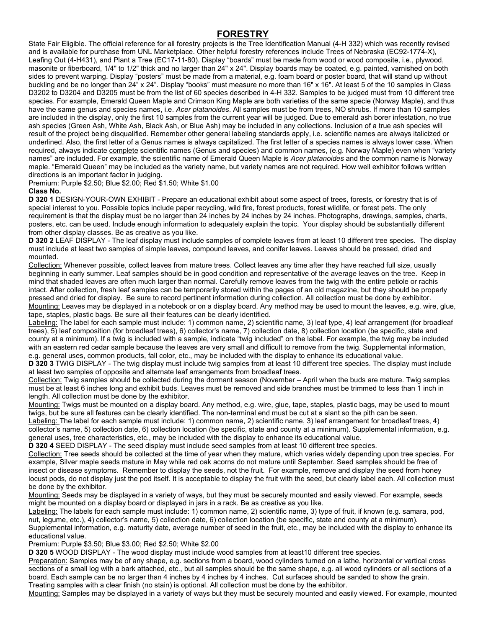## **FORESTRY**

State Fair Eligible. The official reference for all forestry projects is the Tree Identification Manual (4-H 332) which was recently revised and is available for purchase from UNL Marketplace. Other helpful forestry references include Trees of Nebraska (EC92-1774-X), Leafing Out (4-H431), and Plant a Tree (EC17-11-80). Display "boards" must be made from wood or wood composite, i.e., plywood, masonite or fiberboard, 1/4" to 1/2" thick and no larger than 24" x 24". Display boards may be coated, e.g. painted, varnished on both sides to prevent warping. Display "posters" must be made from a material, e.g. foam board or poster board, that will stand up without buckling and be no longer than 24" x 24". Display "books" must measure no more than 16" x 16". At least 5 of the 10 samples in Class D3202 to D3204 and D3205 must be from the list of 60 species described in 4-H 332. Samples to be judged must from 10 different tree species. For example, Emerald Queen Maple and Crimson King Maple are both varieties of the same specie (Norway Maple), and thus have the same genus and species names, i.e. *Acer platanoides*. All samples must be from trees, NO shrubs. If more than 10 samples are included in the display, only the first 10 samples from the current year will be judged. Due to emerald ash borer infestation, no true ash species (Green Ash, White Ash, Black Ash, or Blue Ash) may be included in any collections. Inclusion of a true ash species will result of the project being disqualified. Remember other general labeling standards apply, i.e. scientific names are always italicized or underlined. Also, the first letter of a Genus names is always capitalized. The first letter of a species names is always lower case. When required, always indicate complete scientific names (Genus and species) and common names, (e.g. Norway Maple) even when "variety names" are included. For example, the scientific name of Emerald Queen Maple is *Acer platanoides* and the common name is Norway maple. "Emerald Queen" may be included as the variety name, but variety names are not required. How well exhibitor follows written directions is an important factor in judging.

Premium: Purple \$2.50; Blue \$2.00; Red \$1.50; White \$1.00

### **Class No.**

**D 320 1** DESIGN-YOUR-OWN EXHIBIT - Prepare an educational exhibit about some aspect of trees, forests, or forestry that is of special interest to you. Possible topics include paper recycling, wild fire, forest products, forest wildlife, or forest pets. The only requirement is that the display must be no larger than 24 inches by 24 inches by 24 inches. Photographs, drawings, samples, charts, posters, etc. can be used. Include enough information to adequately explain the topic. Your display should be substantially different from other display classes. Be as creative as you like.

**D 320 2** LEAF DISPLAY - The leaf display must include samples of complete leaves from at least 10 different tree species. The display must include at least two samples of simple leaves, compound leaves, and conifer leaves. Leaves should be pressed, dried and mounted.

Collection: Whenever possible, collect leaves from mature trees. Collect leaves any time after they have reached full size, usually beginning in early summer. Leaf samples should be in good condition and representative of the average leaves on the tree. Keep in mind that shaded leaves are often much larger than normal. Carefully remove leaves from the twig with the entire petiole or rachis intact. After collection, fresh leaf samples can be temporarily stored within the pages of an old magazine, but they should be properly pressed and dried for display. Be sure to record pertinent information during collection. All collection must be done by exhibitor. Mounting: Leaves may be displayed in a notebook or on a display board. Any method may be used to mount the leaves, e.g. wire, glue, tape, staples, plastic bags. Be sure all their features can be clearly identified.

Labeling: The label for each sample must include: 1) common name, 2) scientific name, 3) leaf type, 4) leaf arrangement (for broadleaf trees), 5) leaf composition (for broadleaf trees), 6) collector's name, 7) collection date, 8) collection location (be specific, state and county at a minimum). If a twig is included with a sample, indicate "twig included" on the label. For example, the twig may be included with an eastern red cedar sample because the leaves are very small and difficult to remove from the twig. Supplemental information, e.g. general uses, common products, fall color, etc., may be included with the display to enhance its educational value.

**D 320 3** TWIG DISPLAY - The twig display must include twig samples from at least 10 different tree species. The display must include at least two samples of opposite and alternate leaf arrangements from broadleaf trees.

Collection: Twig samples should be collected during the dormant season (November – April when the buds are mature. Twig samples must be at least 6 inches long and exhibit buds. Leaves must be removed and side branches must be trimmed to less than 1 inch in length. All collection must be done by the exhibitor.

Mounting: Twigs must be mounted on a display board. Any method, e.g. wire, glue, tape, staples, plastic bags, may be used to mount twigs, but be sure all features can be clearly identified. The non-terminal end must be cut at a slant so the pith can be seen.

Labeling: The label for each sample must include: 1) common name, 2) scientific name, 3) leaf arrangement for broadleaf trees, 4) collector's name, 5) collection date, 6) collection location (be specific, state and county at a minimum). Supplemental information, e.g. general uses, tree characteristics, etc., may be included with the display to enhance its educational value.

**D 320 4** SEED DISPLAY - The seed display must include seed samples from at least 10 different tree species.

Collection: Tree seeds should be collected at the time of year when they mature, which varies widely depending upon tree species. For example, Silver maple seeds mature in May while red oak acorns do not mature until September. Seed samples should be free of insect or disease symptoms. Remember to display the seeds, not the fruit. For example, remove and display the seed from honey locust pods, do not display just the pod itself. It is acceptable to display the fruit with the seed, but clearly label each. All collection must be done by the exhibitor.

Mounting: Seeds may be displayed in a variety of ways, but they must be securely mounted and easily viewed. For example, seeds might be mounted on a display board or displayed in jars in a rack. Be as creative as you like.

Labeling: The labels for each sample must include: 1) common name, 2) scientific name, 3) type of fruit, if known (e.g. samara, pod, nut, legume, etc.), 4) collector's name, 5) collection date, 6) collection location (be specific, state and county at a minimum). Supplemental information, e.g. maturity date, average number of seed in the fruit, etc., may be included with the display to enhance its educational value.

Premium: Purple \$3.50; Blue \$3.00; Red \$2.50; White \$2.00

**D 320 5** WOOD DISPLAY - The wood display must include wood samples from at least10 different tree species.

Preparation: Samples may be of any shape, e.g. sections from a board, wood cylinders turned on a lathe, horizontal or vertical cross sections of a small log with a bark attached, etc., but all samples should be the same shape, e.g. all wood cylinders or all sections of a board. Each sample can be no larger than 4 inches by 4 inches by 4 inches. Cut surfaces should be sanded to show the grain. Treating samples with a clear finish (no stain) is optional. All collection must be done by the exhibitor.

Mounting: Samples may be displayed in a variety of ways but they must be securely mounted and easily viewed. For example, mounted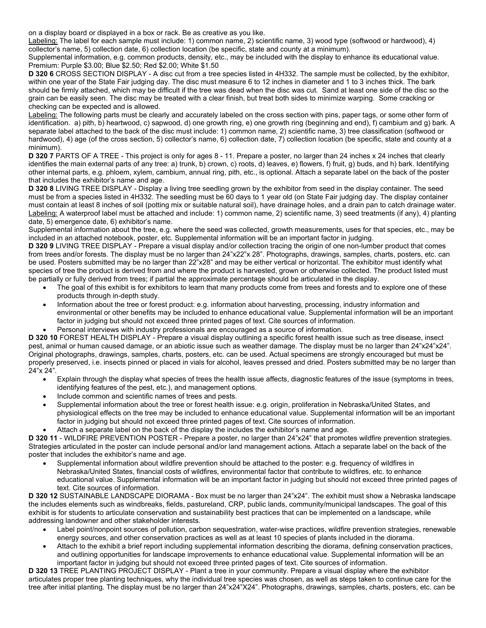on a display board or displayed in a box or rack. Be as creative as you like.

Labeling: The label for each sample must include: 1) common name, 2) scientific name, 3) wood type (softwood or hardwood), 4) collector's name, 5) collection date, 6) collection location (be specific, state and county at a minimum).

Supplemental information, e.g. common products, density, etc., may be included with the display to enhance its educational value. Premium: Purple \$3.00; Blue \$2.50; Red \$2.00; White \$1.50

**D 320 6** CROSS SECTION DISPLAY - A disc cut from a tree species listed in 4H332. The sample must be collected, by the exhibitor, within one year of the State Fair judging day. The disc must measure 6 to 12 inches in diameter and 1 to 3 inches thick. The bark should be firmly attached, which may be difficult if the tree was dead when the disc was cut. Sand at least one side of the disc so the grain can be easily seen. The disc may be treated with a clear finish, but treat both sides to minimize warping. Some cracking or checking can be expected and is allowed.

Labeling: The following parts must be clearly and accurately labeled on the cross section with pins, paper tags, or some other form of identification. a) pith, b) heartwood, c) sapwood, d) one growth ring, e) one growth ring (beginning and end), f) cambium and g) bark. A separate label attached to the back of the disc must include: 1) common name, 2) scientific name, 3) tree classification (softwood or hardwood), 4) age (of the cross section, 5) collector's name, 6) collection date, 7) collection location (be specific, state and county at a minimum).

**D 320 7** PARTS OF A TREE - This project is only for ages 8 - 11. Prepare a poster, no larger than 24 inches x 24 inches that clearly identifies the main external parts of any tree: a) trunk, b) crown, c) roots, d) leaves, e) flowers, f) fruit, g) buds, and h) bark. Identifying other internal parts, e.g. phloem, xylem, cambium, annual ring, pith, etc., is optional. Attach a separate label on the back of the poster that includes the exhibitor's name and age.

**D 320 8** LIVING TREE DISPLAY - Display a living tree seedling grown by the exhibitor from seed in the display container. The seed must be from a species listed in 4H332. The seedling must be 60 days to 1 year old (on State Fair judging day. The display container must contain at least 8 inches of soil (potting mix or suitable natural soil), have drainage holes, and a drain pan to catch drainage water. Labeling: A waterproof label must be attached and include: 1) common name, 2) scientific name, 3) seed treatments (if any), 4) planting date, 5) emergence date, 6) exhibitor's name.

Supplemental information about the tree, e.g. where the seed was collected, growth measurements, uses for that species, etc., may be included in an attached notebook, poster, etc. Supplemental information will be an important factor in judging.

**D 320 9** LIVING TREE DISPLAY - Prepare a visual display and/or collection tracing the origin of one non-lumber product that comes from trees and/or forests. The display must be no larger than 24"x22"x 28". Photographs, drawings, samples, charts, posters, etc. can be used. Posters submitted may be no larger than 22"x28" and may be either vertical or horizontal. The exhibitor must identify what species of tree the product is derived from and where the product is harvested, grown or otherwise collected. The product listed must be partially or fully derived from trees; if partial the approximate percentage should be articulated in the display.

- The goal of this exhibit is for exhibitors to learn that many products come from trees and forests and to explore one of these products through in-depth study.
- Information about the tree or forest product: e.g. information about harvesting, processing, industry information and environmental or other benefits may be included to enhance educational value. Supplemental information will be an important factor in judging but should not exceed three printed pages of text. Cite sources of information.
- Personal interviews with industry professionals are encouraged as a source of information.

**D 320 10** FOREST HEALTH DISPLAY - Prepare a visual display outlining a specific forest health issue such as tree disease, insect pest, animal or human caused damage, or an abiotic issue such as weather damage. The display must be no larger than 24"x24"x24". Original photographs, drawings, samples, charts, posters, etc. can be used. Actual specimens are strongly encouraged but must be properly preserved, i.e. insects pinned or placed in vials for alcohol, leaves pressed and dried. Posters submitted may be no larger than 24"x 24".

- Explain through the display what species of trees the health issue affects, diagnostic features of the issue (symptoms in trees, identifying features of the pest, etc.), and management options.
- Include common and scientific names of trees and pests.
- Supplemental information about the tree or forest health issue: e.g. origin, proliferation in Nebraska/United States, and physiological effects on the tree may be included to enhance educational value. Supplemental information will be an important factor in judging but should not exceed three printed pages of text. Cite sources of information.
- Attach a separate label on the back of the display the includes the exhibitor's name and age.

**D 320 11** - WILDFIRE PREVENTION POSTER - Prepare a poster, no larger than 24"x24" that promotes wildfire prevention strategies. Strategies articulated in the poster can include personal and/or land management actions. Attach a separate label on the back of the poster that includes the exhibitor's name and age.

• Supplemental information about wildfire prevention should be attached to the poster: e.g. frequency of wildfires in Nebraska/United States, financial costs of wildfires, environmental factor that contribute to wildfires, etc. to enhance educational value. Supplemental information will be an important factor in judging but should not exceed three printed pages of text. Cite sources of information.

**D 320 12** SUSTAINABLE LANDSCAPE DIORAMA - Box must be no larger than 24"x24". The exhibit must show a Nebraska landscape the includes elements such as windbreaks, fields, pastureland, CRP, public lands, community/municipal landscapes. The goal of this exhibit is for students to articulate conservation and sustainability best practices that can be implemented on a landscape, while addressing landowner and other stakeholder interests.

- Label point/nonpoint sources of pollution, carbon sequestration, water-wise practices, wildfire prevention strategies, renewable energy sources, and other conservation practices as well as at least 10 species of plants included in the diorama.
- Attach to the exhibit a brief report including supplemental information describing the diorama, defining conservation practices, and outlining opportunities for landscape improvements to enhance educational value. Supplemental information will be an important factor in judging but should not exceed three printed pages of text. Cite sources of information.

**D 320 13** TREE PLANTING PROJECT DISPLAY - Plant a tree in your community. Prepare a visual display where the exhibitor articulates proper tree planting techniques, why the individual tree species was chosen, as well as steps taken to continue care for the tree after initial planting. The display must be no larger than 24"x24"X24". Photographs, drawings, samples, charts, posters, etc. can be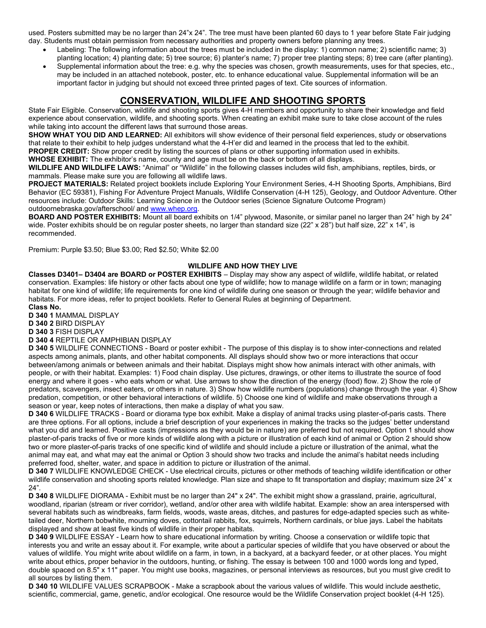used. Posters submitted may be no larger than 24"x 24". The tree must have been planted 60 days to 1 year before State Fair judging day. Students must obtain permission from necessary authorities and property owners before planning any trees.

- Labeling: The following information about the trees must be included in the display: 1) common name; 2) scientific name; 3) planting location; 4) planting date; 5) tree source; 6) planter's name; 7) proper tree planting steps; 8) tree care (after planting).
- Supplemental information about the tree: e.g. why the species was chosen, growth measurements, uses for that species, etc., may be included in an attached notebook, poster, etc. to enhance educational value. Supplemental information will be an important factor in judging but should not exceed three printed pages of text. Cite sources of information.

# **CONSERVATION, WILDLIFE AND SHOOTING SPORTS**

State Fair Eligible. Conservation, wildlife and shooting sports gives 4-H members and opportunity to share their knowledge and field experience about conservation, wildlife, and shooting sports. When creating an exhibit make sure to take close account of the rules while taking into account the different laws that surround those areas.

**SHOW WHAT YOU DID AND LEARNED:** All exhibitors will show evidence of their personal field experiences, study or observations that relate to their exhibit to help judges understand what the 4-H'er did and learned in the process that led to the exhibit.

**PROPER CREDIT:** Show proper credit by listing the sources of plans or other supporting information used in exhibits.

**WHOSE EXHIBIT:** The exhibitor's name, county and age must be on the back or bottom of all displays.

**WILDLIFE AND WILDLIFE LAWS:** "Animal" or "Wildlife" in the following classes includes wild fish, amphibians, reptiles, birds, or mammals. Please make sure you are following all wildlife laws.

**PROJECT MATERIALS:** Related project booklets include Exploring Your Environment Series, 4-H Shooting Sports, Amphibians, Bird Behavior (EC 59381), Fishing For Adventure Project Manuals, Wildlife Conservation (4-H 125), Geology, and Outdoor Adventure. Other resources include: Outdoor Skills: Learning Science in the Outdoor series (Science Signature Outcome Program) outdoornebraska.gov/afterschool/ an[d www.whep.org.](http://www.whep.org/)

**BOARD AND POSTER EXHIBITS:** Mount all board exhibits on 1/4" plywood, Masonite, or similar panel no larger than 24" high by 24" wide. Poster exhibits should be on regular poster sheets, no larger than standard size (22" x 28") but half size, 22" x 14", is recommended.

Premium: Purple \$3.50; Blue \$3.00; Red \$2.50; White \$2.00

### **WILDLIFE AND HOW THEY LIVE**

**Classes D3401– D3404 are BOARD or POSTER EXHIBITS** – Display may show any aspect of wildlife, wildlife habitat, or related conservation. Examples: life history or other facts about one type of wildlife; how to manage wildlife on a farm or in town; managing habitat for one kind of wildlife; life requirements for one kind of wildlife during one season or through the year; wildlife behavior and habitats. For more ideas, refer to project booklets. Refer to General Rules at beginning of Department.

**Class No.**

**D 340 1** MAMMAL DISPLAY

**D 340 2** BIRD DISPLAY

**D 340 3** FISH DISPLAY

### **D 340 4** REPTILE OR AMPHIBIAN DISPLAY

**D 340 5** WILDLIFE CONNECTIONS - Board or poster exhibit - The purpose of this display is to show inter-connections and related aspects among animals, plants, and other habitat components. All displays should show two or more interactions that occur between/among animals or between animals and their habitat. Displays might show how animals interact with other animals, with people, or with their habitat. Examples: 1) Food chain display. Use pictures, drawings, or other items to illustrate the source of food energy and where it goes - who eats whom or what. Use arrows to show the direction of the energy (food) flow. 2) Show the role of predators, scavengers, insect eaters, or others in nature. 3) Show how wildlife numbers (populations) change through the year. 4) Show predation, competition, or other behavioral interactions of wildlife. 5) Choose one kind of wildlife and make observations through a season or year, keep notes of interactions, then make a display of what you saw.

**D 340 6** WILDLIFE TRACKS - Board or diorama type box exhibit. Make a display of animal tracks using plaster-of-paris casts. There are three options. For all options, include a brief description of your experiences in making the tracks so the judges' better understand what you did and learned. Positive casts (impressions as they would be in nature) are preferred but not required. Option 1 should show plaster-of-paris tracks of five or more kinds of wildlife along with a picture or illustration of each kind of animal or Option 2 should show two or more plaster-of-paris tracks of one specific kind of wildlife and should include a picture or illustration of the animal, what the animal may eat, and what may eat the animal or Option 3 should show two tracks and include the animal's habitat needs including preferred food, shelter, water, and space in addition to picture or illustration of the animal.

**D 340 7** WILDLIFE KNOWLEDGE CHECK - Use electrical circuits, pictures or other methods of teaching wildlife identification or other wildlife conservation and shooting sports related knowledge. Plan size and shape to fit transportation and display; maximum size 24" x 24".

**D 340 8** WILDLIFE DIORAMA - Exhibit must be no larger than 24" x 24". The exhibit might show a grassland, prairie, agricultural, woodland, riparian (stream or river corridor), wetland, and/or other area with wildlife habitat. Example: show an area interspersed with several habitats such as windbreaks, farm fields, woods, waste areas, ditches, and pastures for edge-adapted species such as whitetailed deer, Northern bobwhite, mourning doves, cottontail rabbits, fox, squirrels, Northern cardinals, or blue jays. Label the habitats displayed and show at least five kinds of wildlife in their proper habitats.

**D 340 9** WILDLIFE ESSAY - Learn how to share educational information by writing. Choose a conservation or wildlife topic that interests you and write an essay about it. For example, write about a particular species of wildlife that you have observed or about the values of wildlife. You might write about wildlife on a farm, in town, in a backyard, at a backyard feeder, or at other places. You might write about ethics, proper behavior in the outdoors, hunting, or fishing. The essay is between 100 and 1000 words long and typed, double spaced on 8.5" x 11" paper. You might use books, magazines, or personal interviews as resources, but you must give credit to all sources by listing them.

**D 340 10** WILDLIFE VALUES SCRAPBOOK - Make a scrapbook about the various values of wildlife. This would include aesthetic, scientific, commercial, game, genetic, and/or ecological. One resource would be the Wildlife Conservation project booklet (4-H 125).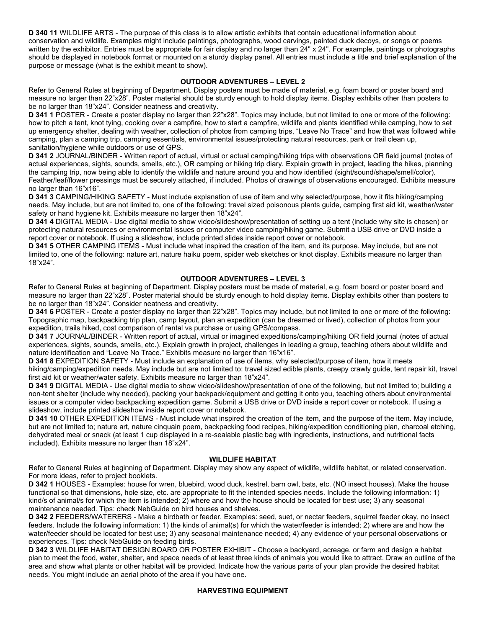**D 340 11** WILDLIFE ARTS - The purpose of this class is to allow artistic exhibits that contain educational information about conservation and wildlife. Examples might include paintings, photographs, wood carvings, painted duck decoys, or songs or poems written by the exhibitor. Entries must be appropriate for fair display and no larger than 24" x 24". For example, paintings or photographs should be displayed in notebook format or mounted on a sturdy display panel. All entries must include a title and brief explanation of the purpose or message (what is the exhibit meant to show).

### **OUTDOOR ADVENTURES – LEVEL 2**

Refer to General Rules at beginning of Department. Display posters must be made of material, e.g. foam board or poster board and measure no larger than 22"x28". Poster material should be sturdy enough to hold display items. Display exhibits other than posters to be no larger than 18"x24". Consider neatness and creativity.

**D 341 1** POSTER - Create a poster display no larger than 22"x28". Topics may include, but not limited to one or more of the following: how to pitch a tent, knot tying, cooking over a campfire, how to start a campfire, wildlife and plants identified while camping, how to set up emergency shelter, dealing with weather, collection of photos from camping trips, "Leave No Trace" and how that was followed while camping, plan a camping trip, camping essentials, environmental issues/protecting natural resources, park or trail clean up, sanitation/hygiene while outdoors or use of GPS.

**D 341 2** JOURNAL/BINDER - Written report of actual, virtual or actual camping/hiking trips with observations OR field journal (notes of actual experiences, sights, sounds, smells, etc.), OR camping or hiking trip diary. Explain growth in project, leading the hikes, planning the camping trip, now being able to identify the wildlife and nature around you and how identified (sight/sound/shape/smell/color). Feather/leaf/flower pressings must be securely attached, if included. Photos of drawings of observations encouraged. Exhibits measure no larger than 16"x16".

**D 341 3** CAMPING/HIKING SAFETY - Must include explanation of use of item and why selected/purpose, how it fits hiking/camping needs. May include, but are not limited to, one of the following: travel sized poisonous plants guide, camping first aid kit, weather/water safety or hand hygiene kit. Exhibits measure no larger then 18"x24".

**D 341 4** DIGITAL MEDIA - Use digital media to show video/slideshow/presentation of setting up a tent (include why site is chosen) or protecting natural resources or environmental issues or computer video camping/hiking game. Submit a USB drive or DVD inside a report cover or notebook. If using a slideshow, include printed slides inside report cover or notebook.

**D 341 5** OTHER CAMPING ITEMS - Must include what inspired the creation of the item, and its purpose. May include, but are not limited to, one of the following: nature art, nature haiku poem, spider web sketches or knot display. Exhibits measure no larger than 18"x24".

### **OUTDOOR ADVENTURES – LEVEL 3**

Refer to General Rules at beginning of Department. Display posters must be made of material, e.g. foam board or poster board and measure no larger than 22"x28". Poster material should be sturdy enough to hold display items. Display exhibits other than posters to be no larger than 18"x24". Consider neatness and creativity.

**D 341 6** POSTER - Create a poster display no larger than 22"x28". Topics may include, but not limited to one or more of the following: Topographic map, backpacking trip plan, camp layout, plan an expedition (can be dreamed or lived), collection of photos from your expedition, trails hiked, cost comparison of rental vs purchase or using GPS/compass.

**D 341 7** JOURNAL/BINDER - Written report of actual, virtual or imagined expeditions/camping/hiking OR field journal (notes of actual experiences, sights, sounds, smells, etc.). Explain growth in project, challenges in leading a group, teaching others about wildlife and nature identification and "Leave No Trace." Exhibits measure no larger than 16"x16".

**D 341 8** EXPEDITION SAFETY - Must include an explanation of use of items, why selected/purpose of item, how it meets hiking/camping/expedition needs. May include but are not limited to: travel sized edible plants, creepy crawly guide, tent repair kit, travel first aid kit or weather/water safety. Exhibits measure no larger than 18"x24".

**D 341 9** DIGITAL MEDIA - Use digital media to show video/slideshow/presentation of one of the following, but not limited to; building a non-tent shelter (include why needed), packing your backpack/equipment and getting it onto you, teaching others about environmental issues or a computer video backpacking expedition game. Submit a USB drive or DVD inside a report cover or notebook. If using a slideshow, include printed slideshow inside report cover or notebook.

**D 341 10** OTHER EXPEDITION ITEMS - Must include what inspired the creation of the item, and the purpose of the item. May include, but are not limited to; nature art, nature cinquain poem, backpacking food recipes, hiking/expedition conditioning plan, charcoal etching, dehydrated meal or snack (at least 1 cup displayed in a re-sealable plastic bag with ingredients, instructions, and nutritional facts included). Exhibits measure no larger than 18"x24".

### **WILDLIFE HABITAT**

Refer to General Rules at beginning of Department. Display may show any aspect of wildlife, wildlife habitat, or related conservation. For more ideas, refer to project booklets.

**D 342 1** HOUSES - Examples: house for wren, bluebird, wood duck, kestrel, barn owl, bats, etc. (NO insect houses). Make the house functional so that dimensions, hole size, etc. are appropriate to fit the intended species needs. Include the following information: 1) kind/s of animal/s for which the item is intended; 2) where and how the house should be located for best use; 3) any seasonal maintenance needed. Tips: check NebGuide on bird houses and shelves.

**D 342 2** FEEDERS/WATERERS - Make a birdbath or feeder. Examples: seed, suet, or nectar feeders, squirrel feeder okay, no insect feeders. Include the following information: 1) the kinds of animal(s) for which the water/feeder is intended; 2) where are and how the water/feeder should be located for best use; 3) any seasonal maintenance needed; 4) any evidence of your personal observations or experiences. Tips: check NebGuide on feeding birds.

**D 342 3** WILDLIFE HABITAT DESIGN BOARD OR POSTER EXHIBIT - Choose a backyard, acreage, or farm and design a habitat plan to meet the food, water, shelter, and space needs of at least three kinds of animals you would like to attract. Draw an outline of the area and show what plants or other habitat will be provided. Indicate how the various parts of your plan provide the desired habitat needs. You might include an aerial photo of the area if you have one.

### **HARVESTING EQUIPMENT**